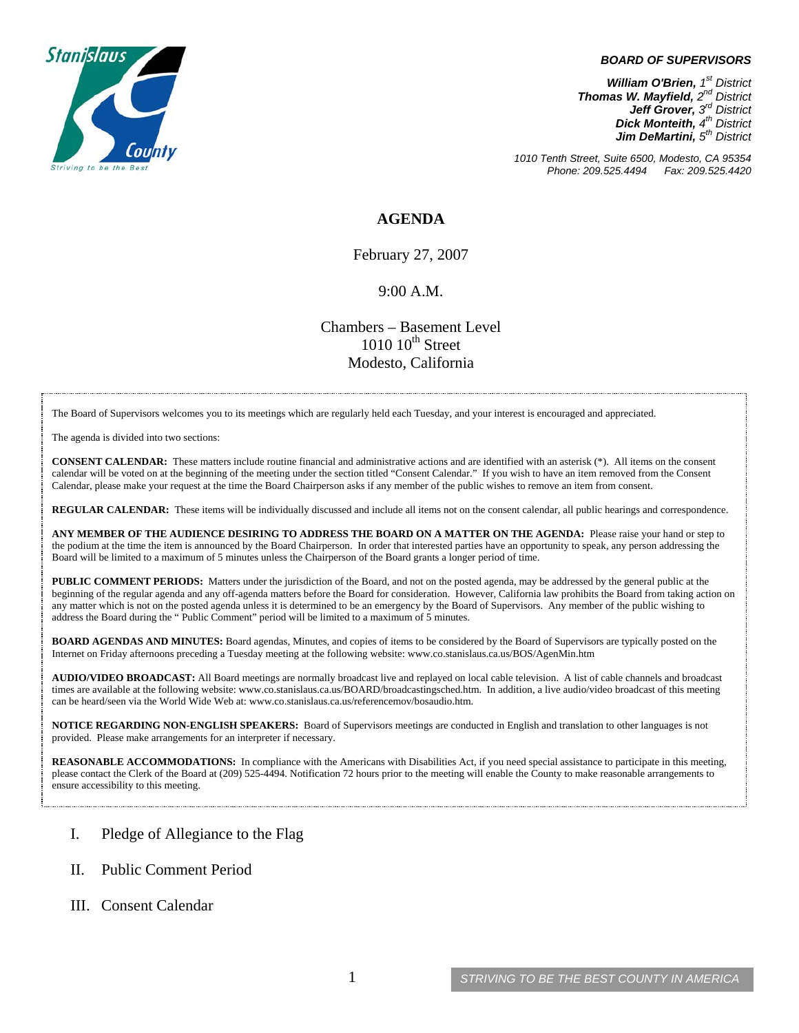

#### *BOARD OF SUPERVISORS*

*William O'Brien, 1<sup>st</sup> District Thomas W. Mayfield, 2nd District Jeff Grover, 3rd District Dick Monteith, 4<sup>th</sup> District Jim DeMartini, 5th District*

*1010 Tenth Street, Suite 6500, Modesto, CA 95354 Phone: 209.525.4494 Fax: 209.525.4420*

## **AGENDA**

February 27, 2007

### 9:00 A.M.

Chambers – Basement Level  $1010~10<sup>th</sup>$  Street Modesto, California

The Board of Supervisors welcomes you to its meetings which are regularly held each Tuesday, and your interest is encouraged and appreciated.

The agenda is divided into two sections:

**CONSENT CALENDAR:** These matters include routine financial and administrative actions and are identified with an asterisk (\*). All items on the consent calendar will be voted on at the beginning of the meeting under the section titled "Consent Calendar." If you wish to have an item removed from the Consent Calendar, please make your request at the time the Board Chairperson asks if any member of the public wishes to remove an item from consent.

**REGULAR CALENDAR:** These items will be individually discussed and include all items not on the consent calendar, all public hearings and correspondence.

**ANY MEMBER OF THE AUDIENCE DESIRING TO ADDRESS THE BOARD ON A MATTER ON THE AGENDA:** Please raise your hand or step to the podium at the time the item is announced by the Board Chairperson. In order that interested parties have an opportunity to speak, any person addressing the Board will be limited to a maximum of 5 minutes unless the Chairperson of the Board grants a longer period of time.

**PUBLIC COMMENT PERIODS:** Matters under the jurisdiction of the Board, and not on the posted agenda, may be addressed by the general public at the beginning of the regular agenda and any off-agenda matters before the Board for consideration. However, California law prohibits the Board from taking action on any matter which is not on the posted agenda unless it is determined to be an emergency by the Board of Supervisors. Any member of the public wishing to address the Board during the " Public Comment" period will be limited to a maximum of 5 minutes.

**BOARD AGENDAS AND MINUTES:** Board agendas, Minutes, and copies of items to be considered by the Board of Supervisors are typically posted on the Internet on Friday afternoons preceding a Tuesday meeting at the following website: [www.co.stanislaus.ca.us/BOS/AgenMin.htm](http://www.co.stanislaus.ca.us/BOS/AgenMin.htm) 

**AUDIO/VIDEO BROADCAST:** All Board meetings are normally broadcast live and replayed on local cable television. A list of cable channels and broadcast times are available at the following website: [www.co.stanislaus.ca.us/BOARD/broadcastingsched.htm](http://www.co.stanislaus.ca.us/BOARD/broadcastingsched.htm). In addition, a live audio/video broadcast of this meeting can be heard/seen via the World Wide Web at: [www.co.stanislaus.ca.us/referencemov/bosaudio.htm.](http://www.co.stanislaus.ca.us/referencemov/bosaudio.htm)

**NOTICE REGARDING NON-ENGLISH SPEAKERS:** Board of Supervisors meetings are conducted in English and translation to other languages is not provided. Please make arrangements for an interpreter if necessary.

**REASONABLE ACCOMMODATIONS:** In compliance with the Americans with Disabilities Act, if you need special assistance to participate in this meeting, please contact the Clerk of the Board at (209) 525-4494. Notification 72 hours prior to the meeting will enable the County to make reasonable arrangements to ensure accessibility to this meeting.

- I. Pledge of Allegiance to the Flag
- II. Public Comment Period
- III. Consent Calendar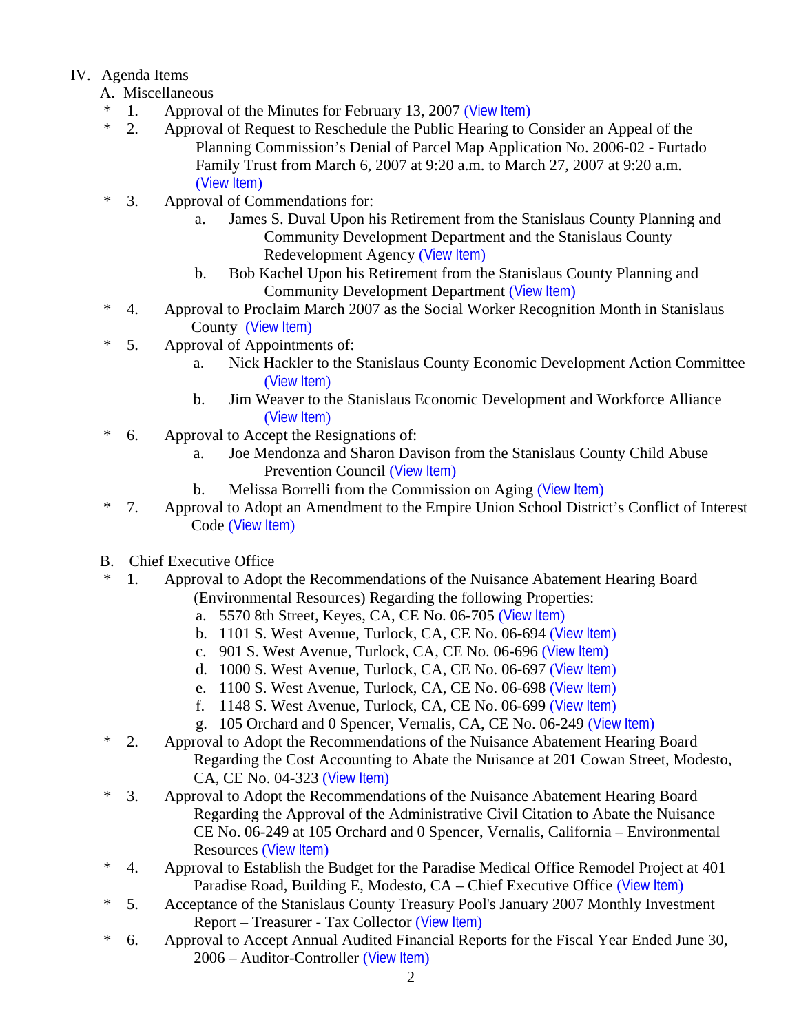# IV. Agenda Items

- A. Miscellaneous
- \* 1. Approval of the Minutes for February 13, 2007 ([View Item](http://www.co.stanislaus.ca.us/BOS/MINUTES/2007/min02-13-07.pdf))
- \* 2. Approval of Request to Reschedule the Public Hearing to Consider an Appeal of the Planning Commission's Denial of Parcel Map Application No. 2006-02 - Furtado Family Trust from March 6, 2007 at 9:20 a.m. to March 27, 2007 at 9:20 a.m. ([View Item](http://www.co.stanislaus.ca.us/BOS/Agenda/2007/20070227/A02.pdf))
- \* 3. Approval of Commendations for:
	- a. James S. Duval Upon his Retirement from the Stanislaus County Planning and Community Development Department and the Stanislaus County Redevelopment Agency ([View Item](http://www.co.stanislaus.ca.us/BOS/Agenda/2007/20070227/A03a.pdf))
	- b. Bob Kachel Upon his Retirement from the Stanislaus County Planning and Community Development Department ([View Item](http://www.co.stanislaus.ca.us/BOS/Agenda/2007/20070227/A03b.pdf))
- \* 4. Approval to Proclaim March 2007 as the Social Worker Recognition Month in Stanislaus County ([View Item](http://www.co.stanislaus.ca.us/BOS/Agenda/2007/20070227/A04.pdf))
- \* 5. Approval of Appointments of:
	- a. Nick Hackler to the Stanislaus County Economic Development Action Committee ([View Item](http://www.co.stanislaus.ca.us/BOS/Agenda/2007/20070227/A05a.pdf))
	- b. Jim Weaver to the Stanislaus Economic Development and Workforce Alliance ([View Item](http://www.co.stanislaus.ca.us/BOS/Agenda/2007/20070227/A05b.pdf))
- \* 6. Approval to Accept the Resignations of:
	- a. Joe Mendonza and Sharon Davison from the Stanislaus County Child Abuse Prevention Council ([View Item](http://www.co.stanislaus.ca.us/BOS/Agenda/2007/20070227/A06a.pdf))
	- b. Melissa Borrelli from the Commission on Aging ([View Item](http://www.co.stanislaus.ca.us/BOS/Agenda/2007/20070227/A06b.pdf))
- \* 7. Approval to Adopt an Amendment to the Empire Union School District's Conflict of Interest Code ([View Item](http://www.co.stanislaus.ca.us/BOS/Agenda/2007/20070227/A07.pdf))
- B. Chief Executive Office
- \* 1. Approval to Adopt the Recommendations of the Nuisance Abatement Hearing Board
	- (Environmental Resources) Regarding the following Properties:
		- a. 5570 8th Street, Keyes, CA, CE No. 06-705 ([View Item](http://www.co.stanislaus.ca.us/BOS/Agenda/2007/20070227/B01a.pdf))
		- b. 1101 S. West Avenue, Turlock, CA, CE No. 06-694 ([View Item](http://www.co.stanislaus.ca.us/BOS/Agenda/2007/20070227/B01b.pdf))
		- c. 901 S. West Avenue, Turlock, CA, CE No. 06-696 ([View Item](http://www.co.stanislaus.ca.us/BOS/Agenda/2007/20070227/B01c.pdf))
		- d. 1000 S. West Avenue, Turlock, CA, CE No. 06-697 ([View Item](http://www.co.stanislaus.ca.us/BOS/Agenda/2007/20070227/B01d.pdf))
		- e. 1100 S. West Avenue, Turlock, CA, CE No. 06-698 ([View Item](http://www.co.stanislaus.ca.us/BOS/Agenda/2007/20070227/B01e.pdf))
		- f. 1148 S. West Avenue, Turlock, CA, CE No. 06-699 ([View Item](http://www.co.stanislaus.ca.us/BOS/Agenda/2007/20070227/B01f.pdf))
		- g. 105 Orchard and 0 Spencer, Vernalis, CA, CE No. 06-249 ([View Item](http://www.co.stanislaus.ca.us/BOS/Agenda/2007/20070227/B01g.pdf))
- \* 2. Approval to Adopt the Recommendations of the Nuisance Abatement Hearing Board Regarding the Cost Accounting to Abate the Nuisance at 201 Cowan Street, Modesto, CA, CE No. 04-323 ([View Item](http://www.co.stanislaus.ca.us/BOS/Agenda/2007/20070227/B02.pdf))
- \* 3. Approval to Adopt the Recommendations of the Nuisance Abatement Hearing Board Regarding the Approval of the Administrative Civil Citation to Abate the Nuisance CE No. 06-249 at 105 Orchard and 0 Spencer, Vernalis, California – Environmental Resources ([View Item](http://www.co.stanislaus.ca.us/BOS/Agenda/2007/20070227/B03.pdf))
- \* 4. Approval to Establish the Budget for the Paradise Medical Office Remodel Project at 401 Paradise Road, Building E, Modesto, CA – Chief Executive Office ([View Item](http://www.co.stanislaus.ca.us/BOS/Agenda/2007/20070227/B04.pdf))
- \* 5. Acceptance of the Stanislaus County Treasury Pool's January 2007 Monthly Investment Report – Treasurer - Tax Collector ([View Item](http://www.co.stanislaus.ca.us/BOS/Agenda/2007/20070227/B05.pdf))
- \* 6. Approval to Accept Annual Audited Financial Reports for the Fiscal Year Ended June 30, 2006 – Auditor-Controller ([View Item](http://www.co.stanislaus.ca.us/BOS/Agenda/2007/20070227/B06.pdf))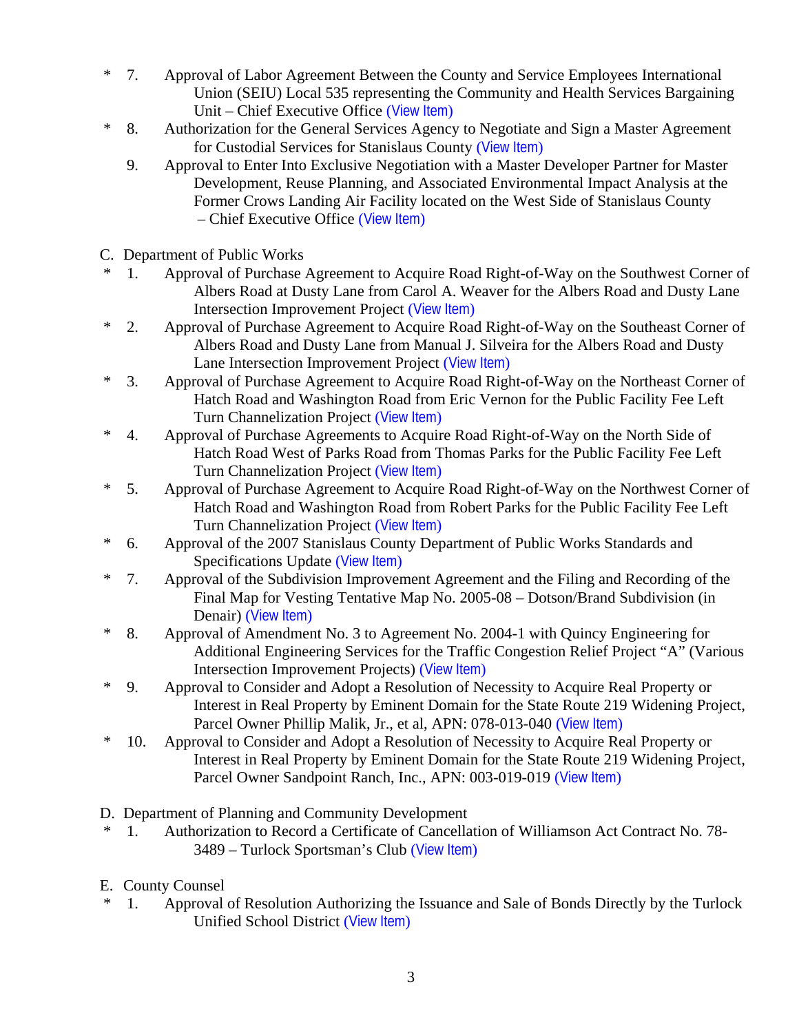- \* 7. Approval of Labor Agreement Between the County and Service Employees International Union (SEIU) Local 535 representing the Community and Health Services Bargaining Unit – Chief Executive Office ([View Item](http://www.co.stanislaus.ca.us/BOS/Agenda/2007/20070227/B07.pdf))
- \* 8. Authorization for the General Services Agency to Negotiate and Sign a Master Agreement for Custodial Services for Stanislaus County ([View Item](http://www.co.stanislaus.ca.us/BOS/Agenda/2007/20070227/B08.pdf))
	- 9. Approval to Enter Into Exclusive Negotiation with a Master Developer Partner for Master Development, Reuse Planning, and Associated Environmental Impact Analysis at the Former Crows Landing Air Facility located on the West Side of Stanislaus County – Chief Executive Office ([View Item](http://www.co.stanislaus.ca.us/BOS/Agenda/2007/20070227/B09.pdf))
- C. Department of Public Works
- \* 1. Approval of Purchase Agreement to Acquire Road Right-of-Way on the Southwest Corner of Albers Road at Dusty Lane from Carol A. Weaver for the Albers Road and Dusty Lane Intersection Improvement Project ([View Item](http://www.co.stanislaus.ca.us/BOS/Agenda/2007/20070227/C01.pdf))
- \* 2. Approval of Purchase Agreement to Acquire Road Right-of-Way on the Southeast Corner of Albers Road and Dusty Lane from Manual J. Silveira for the Albers Road and Dusty Lane Intersection Improvement Project ([View Item](http://www.co.stanislaus.ca.us/BOS/Agenda/2007/20070227/C02.pdf))
- \* 3. Approval of Purchase Agreement to Acquire Road Right-of-Way on the Northeast Corner of Hatch Road and Washington Road from Eric Vernon for the Public Facility Fee Left Turn Channelization Project ([View Item](http://www.co.stanislaus.ca.us/BOS/Agenda/2007/20070227/C03.pdf))
- \* 4. Approval of Purchase Agreements to Acquire Road Right-of-Way on the North Side of Hatch Road West of Parks Road from Thomas Parks for the Public Facility Fee Left Turn Channelization Project ([View Item](http://www.co.stanislaus.ca.us/BOS/Agenda/2007/20070227/C04.pdf))
- \* 5. Approval of Purchase Agreement to Acquire Road Right-of-Way on the Northwest Corner of Hatch Road and Washington Road from Robert Parks for the Public Facility Fee Left Turn Channelization Project ([View Item](http://www.co.stanislaus.ca.us/BOS/Agenda/2007/20070227/C05.pdf))
- \* 6. Approval of the 2007 Stanislaus County Department of Public Works Standards and Specifications Update ([View Item](http://www.co.stanislaus.ca.us/BOS/Agenda/2007/20070227/C06.pdf))
- \* 7. Approval of the Subdivision Improvement Agreement and the Filing and Recording of the Final Map for Vesting Tentative Map No. 2005-08 – Dotson/Brand Subdivision (in Denair) ([View Item](http://www.co.stanislaus.ca.us/BOS/Agenda/2007/20070227/C07.pdf))
- \* 8. Approval of Amendment No. 3 to Agreement No. 2004-1 with Quincy Engineering for Additional Engineering Services for the Traffic Congestion Relief Project "A" (Various Intersection Improvement Projects) ([View Item](http://www.co.stanislaus.ca.us/BOS/Agenda/2007/20070227/C08.pdf))
- \* 9. Approval to Consider and Adopt a Resolution of Necessity to Acquire Real Property or Interest in Real Property by Eminent Domain for the State Route 219 Widening Project, Parcel Owner Phillip Malik, Jr., et al, APN: 078-013-040 ([View Item](http://www.co.stanislaus.ca.us/BOS/Agenda/2007/20070227/C09.pdf))
- \* 10. Approval to Consider and Adopt a Resolution of Necessity to Acquire Real Property or Interest in Real Property by Eminent Domain for the State Route 219 Widening Project, Parcel Owner Sandpoint Ranch, Inc., APN: 003-019-019 ([View Item](http://www.co.stanislaus.ca.us/BOS/Agenda/2007/20070227/C10.pdf))
- D. Department of Planning and Community Development
- \* 1. Authorization to Record a Certificate of Cancellation of Williamson Act Contract No. 78- 3489 – Turlock Sportsman's Club ([View Item](http://www.co.stanislaus.ca.us/BOS/Agenda/2007/20070227/D01.pdf))
- E. County Counsel
- 1. Approval of Resolution Authorizing the Issuance and Sale of Bonds Directly by the Turlock Unified School District ([View Item](http://www.co.stanislaus.ca.us/BOS/Agenda/2007/20070227/E01.pdf))